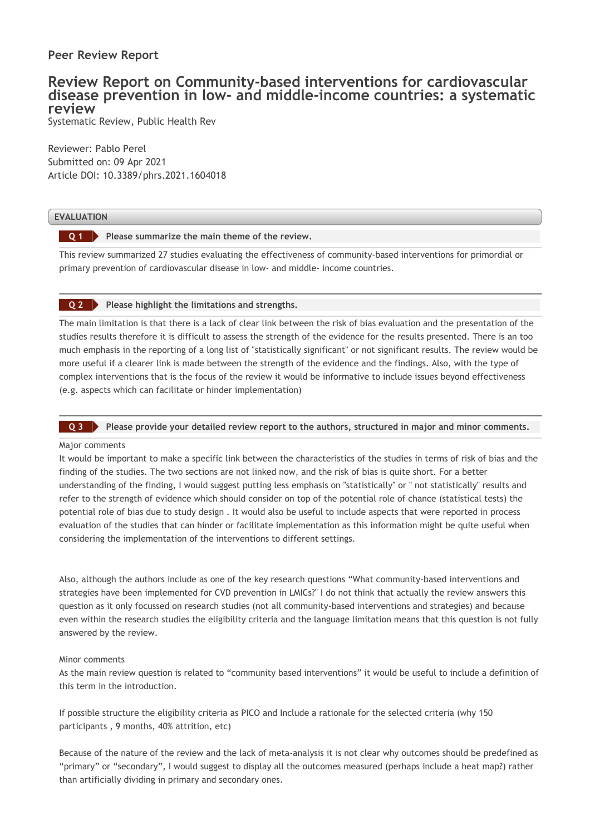## **Peer Review Report**

# **Review Report on Community-based interventions for cardiovascular disease prevention in low- and middle-income countries: a systematic review**

Systematic Review, Public Health Rev

Reviewer: Pablo Perel Submitted on: 09 Apr 2021 Article DOI: 10.3389/phrs.2021.1604018

### **EVALUATION**

**Please summarize the main theme of the review. Q 1**

This review summarized 27 studies evaluating the effectiveness of community-based interventions for primordial or primary prevention of cardiovascular disease in low- and middle- income countries.

### **Please highlight the limitations and strengths. Q 2**

The main limitation is that there is a lack of clear link between the risk of bias evaluation and the presentation of the studies results therefore it is difficult to assess the strength of the evidence for the results presented. There is an too much emphasis in the reporting of a long list of "statistically significant" or not significant results. The review would be more useful if a clearer link is made between the strength of the evidence and the findings. Also, with the type of complex interventions that is the focus of the review it would be informative to include issues beyond effectiveness (e.g. aspects which can facilitate or hinder implementation)

### **Please provide your detailed review report to the authors, structured in major and minor comments. Q 3**

### Major comments

It would be important to make a specific link between the characteristics of the studies in terms of risk of bias and the finding of the studies. The two sections are not linked now, and the risk of bias is quite short. For a better understanding of the finding, I would suggest putting less emphasis on "statistically" or " not statistically" results and refer to the strength of evidence which should consider on top of the potential role of chance (statistical tests) the potential role of bias due to study design . It would also be useful to include aspects that were reported in process evaluation of the studies that can hinder or facilitate implementation as this information might be quite useful when considering the implementation of the interventions to different settings.

Also, although the authors include as one of the key research questions "What community-based interventions and strategies have been implemented for CVD prevention in LMICs?" I do not think that actually the review answers this question as it only focussed on research studies (not all community-based interventions and strategies) and because even within the research studies the eligibility criteria and the language limitation means that this question is not fully answered by the review.

### Minor comments

As the main review question is related to "community based interventions" it would be useful to include a definition of this term in the introduction.

If possible structure the eligibility criteria as PICO and Include a rationale for the selected criteria (why 150 participants , 9 months, 40% attrition, etc)

Because of the nature of the review and the lack of meta-analysis it is not clear why outcomes should be predefined as "primary" or "secondary", I would suggest to display all the outcomes measured (perhaps include a heat map?) rather than artificially dividing in primary and secondary ones.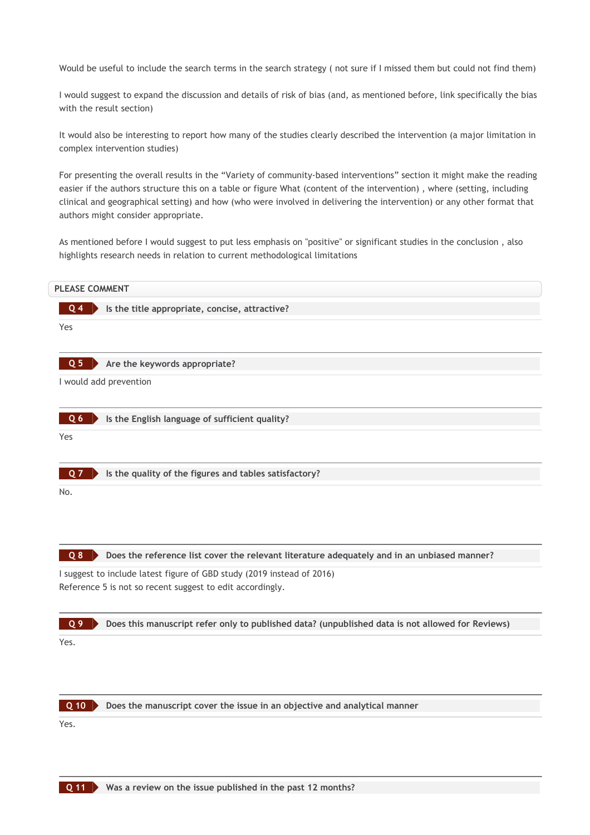Would be useful to include the search terms in the search strategy ( not sure if I missed them but could not find them)

I would suggest to expand the discussion and details of risk of bias (and, as mentioned before, link specifically the bias with the result section)

It would also be interesting to report how many of the studies clearly described the intervention (a major limitation in complex intervention studies)

For presenting the overall results in the "Variety of community-based interventions" section it might make the reading easier if the authors structure this on a table or figure What (content of the intervention) , where (setting, including clinical and geographical setting) and how (who were involved in delivering the intervention) or any other format that authors might consider appropriate.

As mentioned before I would suggest to put less emphasis on "positive" or significant studies in the conclusion , also highlights research needs in relation to current methodological limitations





**Does the manuscript cover the issue in an objective and analytical manner**

Yes.